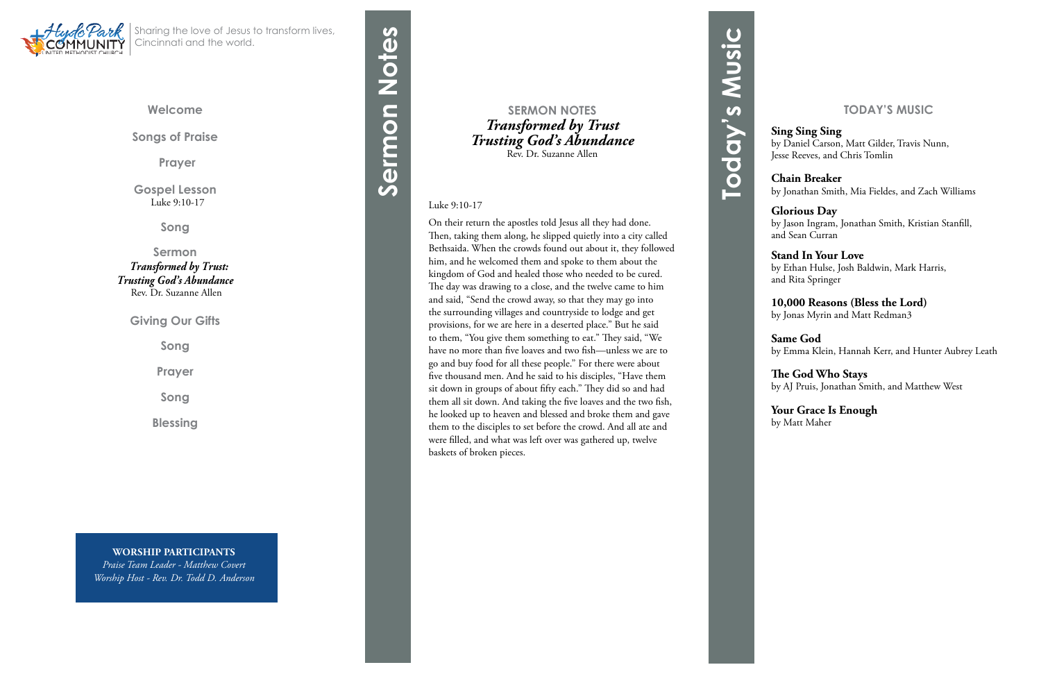**Welcome**

**Songs of Praise**

**Prayer** 

**Gospel Lesson**Luke 9:10-17

**Song**

**Sermon**  *Transformed by Trust: Trusting God's Abundance* Rev. Dr. Suzanne Allen

**Giving Our Gifts**

**Song**

**Prayer**

**Song**

**Blessing**



Sharing the love of Jesus to transform lives, Cincinnati and the world.

#### **SERMON NOTES** *Transformed by Trust Trusting God's Abundance* Rev. Dr. Suzanne Allen

#### Luke 9:10-17

On their return the apostles told Jesus all they had done. Then, taking them along, he slipped quietly into a city called Bethsaida. When the crowds found out about it, they followed him, and he welcomed them and spoke to them about the kingdom of God and healed those who needed to be cured. The day was drawing to a close, and the twelve came to him and said, "Send the crowd away, so that they may go into the surrounding villages and countryside to lodge and get provisions, for we are here in a deserted place." But he said to them, "You give them something to eat." They said, "We have no more than five loaves and two fish—unless we are to go and buy food for all these people." For there were about five thousand men. And he said to his disciples, "Have them sit down in groups of about fifty each." They did so and had them all sit down. And taking the five loaves and the two fish, he looked up to heaven and blessed and broke them and gave them to the disciples to set before the crowd. And all ate and were filled, and what was left over was gathered up, twelve baskets of broken pieces.

**Sermon Notes**

Sermon Notes

**WORSHIP PARTICIPANTS** *Praise Team Leader - Matthew Covert Worship Host - Rev. Dr. Todd D. Anderson*

#### **TODAY'S MUSIC**

#### **Sing Sing Sing**

by Daniel Carson, Matt Gilder, Travis Nunn, Jesse Reeves, and Chris Tomlin

#### **Chain Breaker**

by Jonathan Smith, Mia Fieldes, and Zach Williams

#### **Glorious Day**

by Jason Ingram, Jonathan Smith, Kristian Stanfill, and Sean Curran

#### **Stand In Your Love**

by Ethan Hulse, Josh Baldwin, Mark Harris, and Rita Springer

#### **10,000 Reasons (Bless the Lord)**

by Jonas Myrin and Matt Redman3

#### **Same God**

by Emma Klein, Hannah Kerr, and Hunter Aubrey Leath

#### **The God Who Stays**

by AJ Pruis, Jonathan Smith, and Matthew West

#### **Your Grace Is Enough**

by Matt Maher